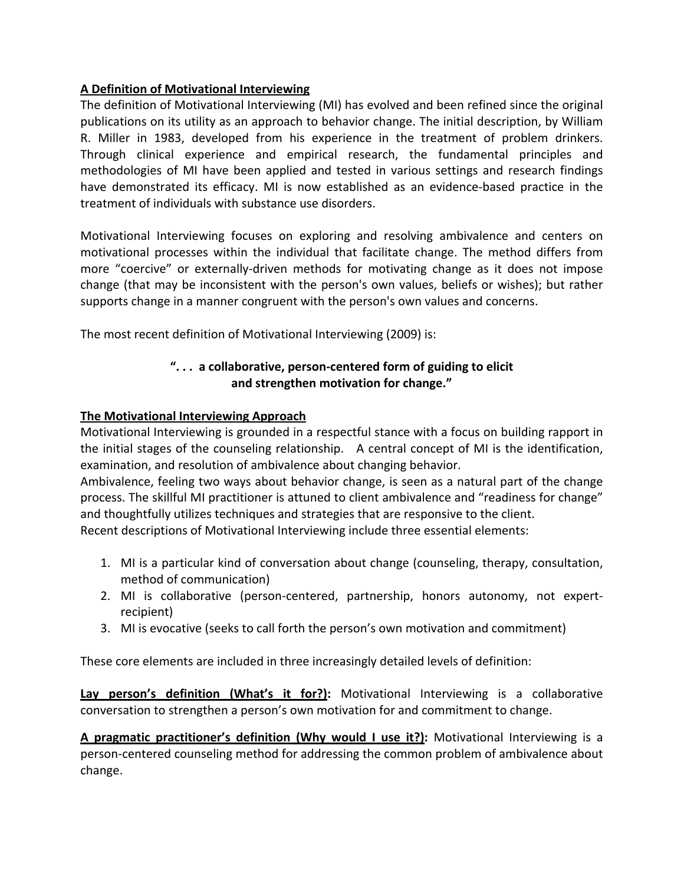# **A Definition of Motivational Interviewing**

The definition of Motivational Interviewing (MI) has evolved and been refined since the original publications on its utility as an approach to behavior change. The initial description, by William R. Miller in 1983, developed from his experience in the treatment of problem drinkers. Through clinical experience and empirical research, the fundamental principles and methodologies of MI have been applied and tested in various settings and research findings have demonstrated its efficacy. MI is now established as an evidence-based practice in the treatment of individuals with substance use disorders.

Motivational Interviewing focuses on exploring and resolving ambivalence and centers on motivational processes within the individual that facilitate change. The method differs from more "coercive" or externally-driven methods for motivating change as it does not impose change (that may be inconsistent with the person's own values, beliefs or wishes); but rather supports change in a manner congruent with the person's own values and concerns.

The most recent definition of Motivational Interviewing (2009) is:

# ". . . a collaborative, person-centered form of guiding to elicit and strengthen motivation for change."

# **The Motivational Interviewing Approach**

Motivational Interviewing is grounded in a respectful stance with a focus on building rapport in the initial stages of the counseling relationship. A central concept of MI is the identification, examination, and resolution of ambivalence about changing behavior.

Ambivalence, feeling two ways about behavior change, is seen as a natural part of the change process. The skillful MI practitioner is attuned to client ambivalence and "readiness for change" and thoughtfully utilizes techniques and strategies that are responsive to the client.

Recent descriptions of Motivational Interviewing include three essential elements:

- 1. MI is a particular kind of conversation about change (counseling, therapy, consultation, method of communication)
- 2. MI is collaborative (person-centered, partnership, honors autonomy, not expertrecipient)
- 3. MI is evocative (seeks to call forth the person's own motivation and commitment)

These core elements are included in three increasingly detailed levels of definition:

**Lay person's definition (What's it for?):** Motivational Interviewing is a collaborative conversation to strengthen a person's own motivation for and commitment to change.

**A pragmatic practitioner's definition (Why would I use it?):** Motivational Interviewing is a person-centered counseling method for addressing the common problem of ambivalence about change.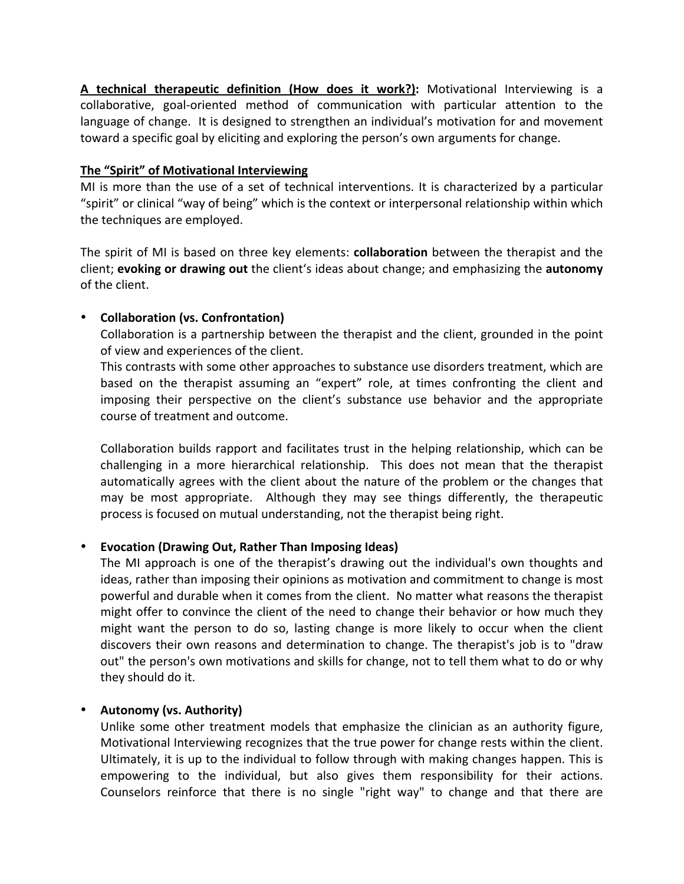**A technical therapeutic definition (How does it work?):** Motivational Interviewing is a collaborative, goal-oriented method of communication with particular attention to the language of change. It is designed to strengthen an individual's motivation for and movement toward a specific goal by eliciting and exploring the person's own arguments for change.

### The "Spirit" of Motivational Interviewing

MI is more than the use of a set of technical interventions. It is characterized by a particular "spirit" or clinical "way of being" which is the context or interpersonal relationship within which the techniques are employed.

The spirit of MI is based on three key elements: **collaboration** between the therapist and the client; **evoking or drawing out** the client's ideas about change; and emphasizing the **autonomy** of the client.

# • **Collaboration (vs. Confrontation)**

Collaboration is a partnership between the therapist and the client, grounded in the point of view and experiences of the client.

This contrasts with some other approaches to substance use disorders treatment, which are based on the therapist assuming an "expert" role, at times confronting the client and imposing their perspective on the client's substance use behavior and the appropriate course of treatment and outcome.

Collaboration builds rapport and facilitates trust in the helping relationship, which can be challenging in a more hierarchical relationship. This does not mean that the therapist automatically agrees with the client about the nature of the problem or the changes that may be most appropriate. Although they may see things differently, the therapeutic process is focused on mutual understanding, not the therapist being right.

# **• Evocation (Drawing Out, Rather Than Imposing Ideas)**

The MI approach is one of the therapist's drawing out the individual's own thoughts and ideas, rather than imposing their opinions as motivation and commitment to change is most powerful and durable when it comes from the client. No matter what reasons the therapist might offer to convince the client of the need to change their behavior or how much they might want the person to do so, lasting change is more likely to occur when the client discovers their own reasons and determination to change. The therapist's job is to "draw out" the person's own motivations and skills for change, not to tell them what to do or why they should do it.

# • Autonomy (vs. Authority)

Unlike some other treatment models that emphasize the clinician as an authority figure, Motivational Interviewing recognizes that the true power for change rests within the client. Ultimately, it is up to the individual to follow through with making changes happen. This is empowering to the individual, but also gives them responsibility for their actions. Counselors reinforce that there is no single "right way" to change and that there are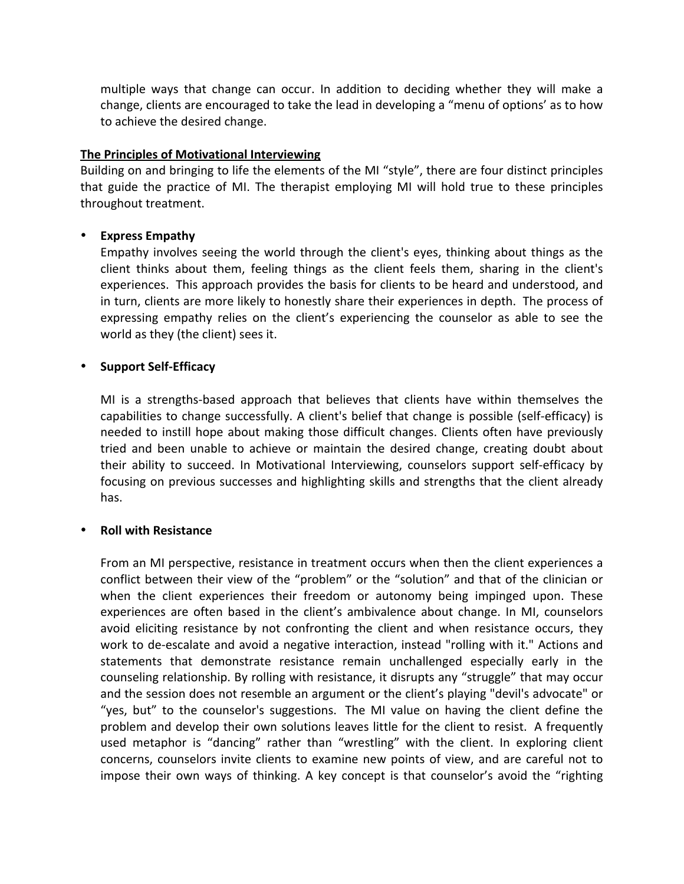multiple ways that change can occur. In addition to deciding whether they will make a change, clients are encouraged to take the lead in developing a "menu of options' as to how to achieve the desired change.

#### **The Principles of Motivational Interviewing**

Building on and bringing to life the elements of the MI "style", there are four distinct principles that guide the practice of MI. The therapist employing MI will hold true to these principles throughout treatment.

### • **Express"Empathy**

Empathy involves seeing the world through the client's eyes, thinking about things as the client thinks about them, feeling things as the client feels them, sharing in the client's experiences. This approach provides the basis for clients to be heard and understood, and in turn, clients are more likely to honestly share their experiences in depth. The process of expressing empathy relies on the client's experiencing the counselor as able to see the world as they (the client) sees it.

### **•** Support Self-Efficacy

MI is a strengths-based approach that believes that clients have within themselves the capabilities to change successfully. A client's belief that change is possible (self-efficacy) is needed to instill hope about making those difficult changes. Clients often have previously tried and been unable to achieve or maintain the desired change, creating doubt about their ability to succeed. In Motivational Interviewing, counselors support self-efficacy by focusing on previous successes and highlighting skills and strengths that the client already has.

#### **Roll with Resistance**

From an MI perspective, resistance in treatment occurs when then the client experiences a conflict between their view of the "problem" or the "solution" and that of the clinician or when the client experiences their freedom or autonomy being impinged upon. These experiences are often based in the client's ambivalence about change. In MI, counselors avoid eliciting resistance by not confronting the client and when resistance occurs, they work to de-escalate and avoid a negative interaction, instead "rolling with it." Actions and statements that demonstrate resistance remain unchallenged especially early in the counseling relationship. By rolling with resistance, it disrupts any "struggle" that may occur and the session does not resemble an argument or the client's playing "devil's advocate" or "yes, but" to the counselor's suggestions. The MI value on having the client define the problem and develop their own solutions leaves little for the client to resist. A frequently used metaphor is "dancing" rather than "wrestling" with the client. In exploring client concerns, counselors invite clients to examine new points of view, and are careful not to impose their own ways of thinking. A key concept is that counselor's avoid the "righting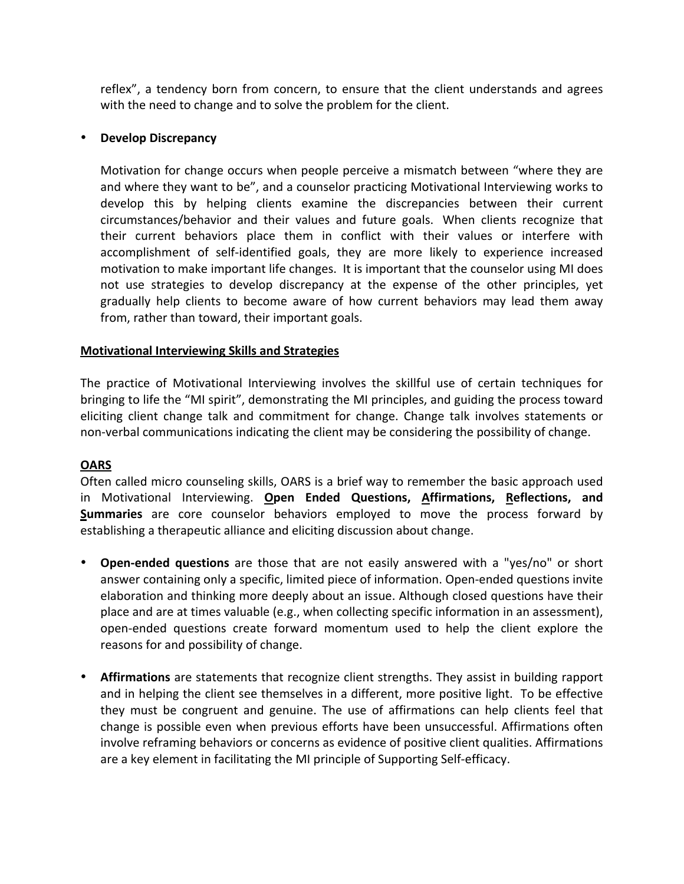reflex", a tendency born from concern, to ensure that the client understands and agrees with the need to change and to solve the problem for the client.

### • **Develop Discrepancy**

Motivation for change occurs when people perceive a mismatch between "where they are and where they want to be", and a counselor practicing Motivational Interviewing works to develop this by helping clients examine the discrepancies between their current circumstances/behavior and their values and future goals. When clients recognize that their current behaviors place them in conflict with their values or interfere with accomplishment of self-identified goals, they are more likely to experience increased motivation to make important life changes. It is important that the counselor using MI does not use strategies to develop discrepancy at the expense of the other principles, yet gradually help clients to become aware of how current behaviors may lead them away from, rather than toward, their important goals.

### **Motivational Interviewing Skills and Strategies**

The practice of Motivational Interviewing involves the skillful use of certain techniques for bringing to life the "MI spirit", demonstrating the MI principles, and guiding the process toward eliciting client change talk and commitment for change. Change talk involves statements or non-verbal communications indicating the client may be considering the possibility of change.

#### **OARS**

Often called micro counseling skills, OARS is a brief way to remember the basic approach used in! Motivational! Interviewing.! **Open" Ended" Questions," Affirmations," Reflections," and" Summaries** are core counselor behaviors employed to move the process forward by establishing a therapeutic alliance and eliciting discussion about change.

- **Open-ended questions** are those that are not easily answered with a "yes/no" or short answer containing only a specific, limited piece of information. Open-ended questions invite elaboration and thinking more deeply about an issue. Although closed questions have their place and are at times valuable (e.g., when collecting specific information in an assessment), open-ended questions create forward momentum used to help the client explore the reasons for and possibility of change.
- Affirmations are statements that recognize client strengths. They assist in building rapport and in helping the client see themselves in a different, more positive light. To be effective they must be congruent and genuine. The use of affirmations can help clients feel that change is possible even when previous efforts have been unsuccessful. Affirmations often involve reframing behaviors or concerns as evidence of positive client qualities. Affirmations are a key element in facilitating the MI principle of Supporting Self-efficacy.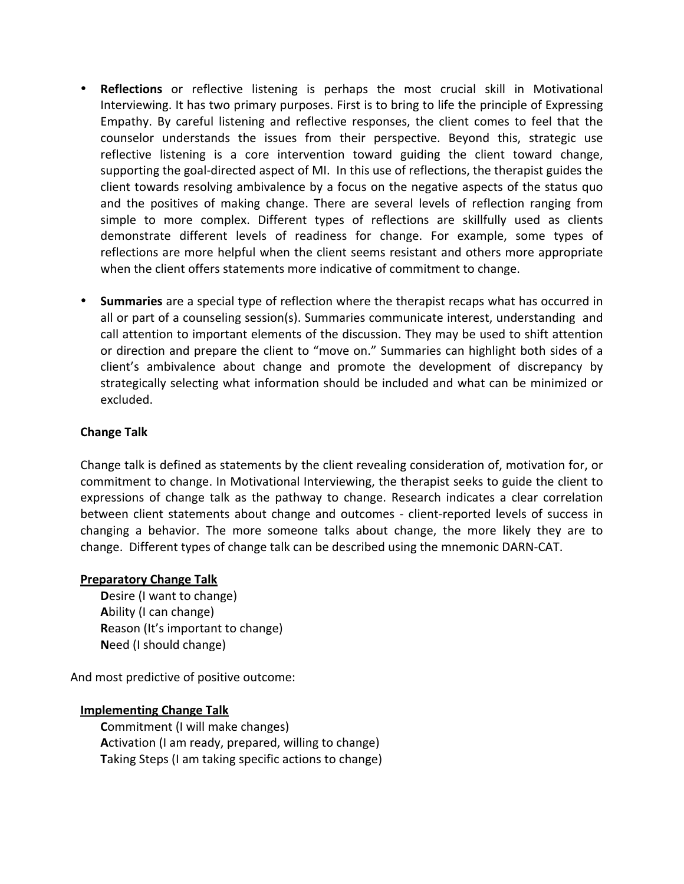- **Reflections** or reflective listening is perhaps the most crucial skill in Motivational Interviewing. It has two primary purposes. First is to bring to life the principle of Expressing Empathy. By careful listening and reflective responses, the client comes to feel that the counselor understands the issues from their perspective. Beyond this, strategic use reflective listening is a core intervention toward guiding the client toward change, supporting the goal-directed aspect of MI. In this use of reflections, the therapist guides the client towards resolving ambivalence by a focus on the negative aspects of the status quo and the positives of making change. There are several levels of reflection ranging from simple to more complex. Different types of reflections are skillfully used as clients demonstrate different levels of readiness for change. For example, some types of reflections are more helpful when the client seems resistant and others more appropriate when the client offers statements more indicative of commitment to change.
- **Summaries** are a special type of reflection where the therapist recaps what has occurred in all or part of a counseling session(s). Summaries communicate interest, understanding and call attention to important elements of the discussion. They may be used to shift attention or direction and prepare the client to "move on." Summaries can highlight both sides of a client's ambivalence about change and promote the development of discrepancy by strategically selecting what information should be included and what can be minimized or excluded.

### **Change Talk**

Change talk is defined as statements by the client revealing consideration of, motivation for, or commitment to change. In Motivational Interviewing, the therapist seeks to guide the client to expressions of change talk as the pathway to change. Research indicates a clear correlation between client statements about change and outcomes - client-reported levels of success in changing a behavior. The more someone talks about change, the more likely they are to change. Different types of change talk can be described using the mnemonic DARN-CAT.

#### **Preparatory Change Talk**

**Desire (I want to change) A**bility (I can change) **Reason (It's important to change) Need (I should change)** 

And most predictive of positive outcome:

# **Implementing Change Talk**

**Commitment (I will make changes)** Activation (I am ready, prepared, willing to change) **Taking Steps (I am taking specific actions to change)**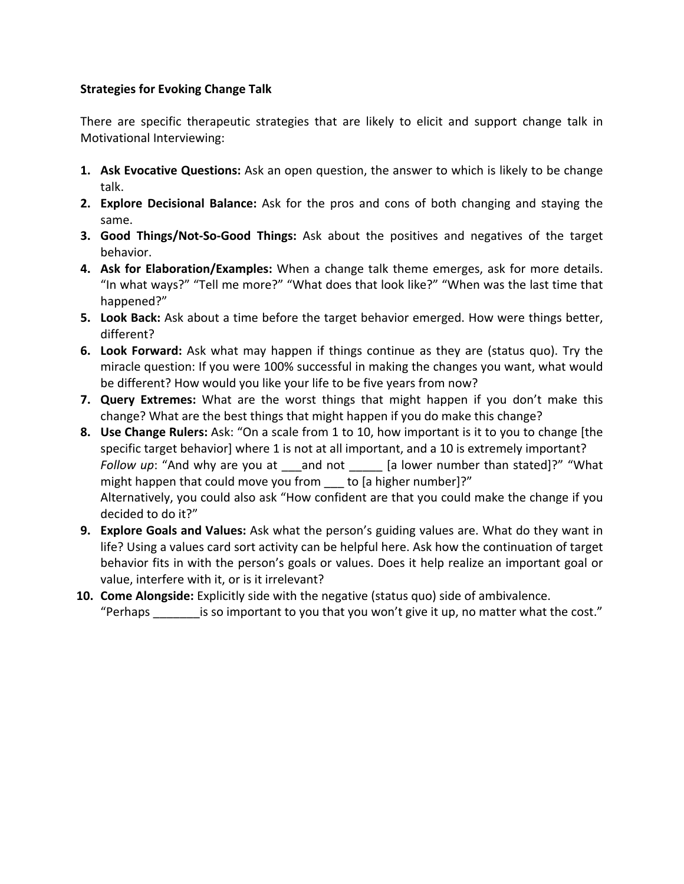### **Strategies for Evoking Change Talk**

There are specific therapeutic strategies that are likely to elicit and support change talk in Motivational Interviewing:

- **1. Ask Evocative Questions:** Ask an open question, the answer to which is likely to be change talk.
- **2. Explore Decisional Balance:** Ask for the pros and cons of both changing and staying the same.
- **3. Good Things/Not-So-Good Things:** Ask about the positives and negatives of the target behavior.
- **4. Ask for Elaboration/Examples:** When a change talk theme emerges, ask for more details. "In what ways?" "Tell me more?" "What does that look like?" "When was the last time that happened?"
- **5. Look Back:** Ask about a time before the target behavior emerged. How were things better, different?
- **6. Look Forward:** Ask what may happen if things continue as they are (status quo). Try the miracle question: If you were 100% successful in making the changes you want, what would be different? How would you like your life to be five years from now?
- **7. Query Extremes:** What are the worst things that might happen if you don't make this change? What are the best things that might happen if you do make this change?
- **8. Use Change Rulers:** Ask: "On a scale from 1 to 10, how important is it to you to change [the specific target behavior] where 1 is not at all important, and a 10 is extremely important? *Follow up*: "And why are you at \_\_and not \_\_\_\_ [a lower number than stated]?" "What might happen that could move you from  $\qquad$  to [a higher number]?" Alternatively, you could also ask "How confident are that you could make the change if you decided to do it?"
- **9. Explore Goals and Values:** Ask what the person's guiding values are. What do they want in life? Using a values card sort activity can be helpful here. Ask how the continuation of target behavior fits in with the person's goals or values. Does it help realize an important goal or value, interfere with it, or is it irrelevant?
- **10. Come Alongside:** Explicitly side with the negative (status quo) side of ambivalence. "Perhaps  $\blacksquare$  is so important to you that you won't give it up, no matter what the cost."